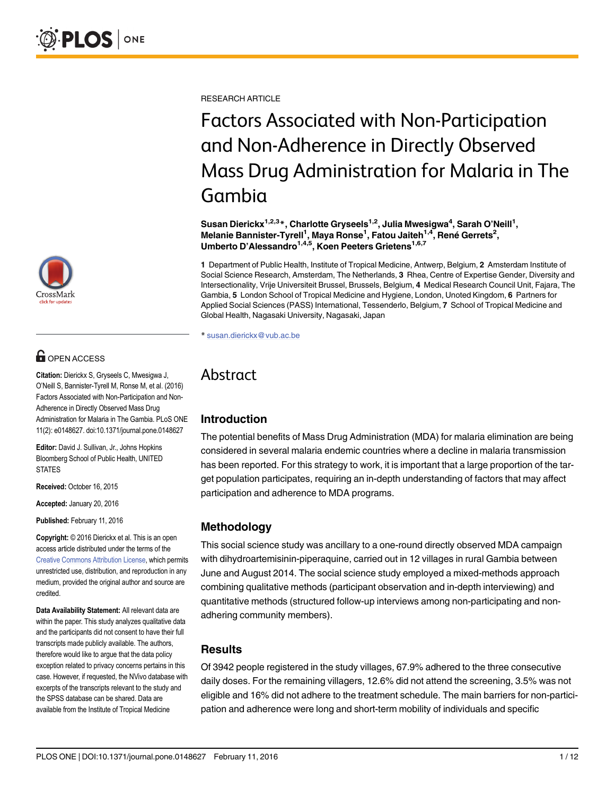

# **OPEN ACCESS**

Citation: Dierickx S, Gryseels C, Mwesigwa J, O'Neill S, Bannister-Tyrell M, Ronse M, et al. (2016) Factors Associated with Non-Participation and Non-Adherence in Directly Observed Mass Drug Administration for Malaria in The Gambia. PLoS ONE 11(2): e0148627. doi:10.1371/journal.pone.0148627

Editor: David J. Sullivan, Jr., Johns Hopkins Bloomberg School of Public Health, UNITED **STATES** 

Received: October 16, 2015

Accepted: January 20, 2016

Published: February 11, 2016

Copyright: © 2016 Dierickx et al. This is an open access article distributed under the terms of the [Creative Commons Attribution License,](http://creativecommons.org/licenses/by/4.0/) which permits unrestricted use, distribution, and reproduction in any medium, provided the original author and source are credited.

Data Availability Statement: All relevant data are within the paper. This study analyzes qualitative data and the participants did not consent to have their full transcripts made publicly available. The authors, therefore would like to argue that the data policy exception related to privacy concerns pertains in this case. However, if requested, the NVivo database with excerpts of the transcripts relevant to the study and the SPSS database can be shared. Data are available from the Institute of Tropical Medicine

RESEARCH ARTICLE

# Factors Associated with Non-Participation and Non-Adherence in Directly Observed Mass Drug Administration for Malaria in The Gambia

Susan Dierickx $^{1,2,3}$ \*, Charlotte Gryseels $^{1,2}$ , Julia Mwesigwa $^4$ , Sarah O'Neill $^1,$ Melanie Bannister-Tyrell<sup>1</sup>, Maya Ronse<sup>1</sup>, Fatou Jaiteh<sup>1,4</sup>, René Gerrets<sup>2</sup>, Umberto D'Alessandro<sup>1,4,5</sup>, Koen Peeters Grietens<sup>1,6,7</sup>

1 Department of Public Health, Institute of Tropical Medicine, Antwerp, Belgium, 2 Amsterdam Institute of Social Science Research, Amsterdam, The Netherlands, 3 Rhea, Centre of Expertise Gender, Diversity and Intersectionality, Vrije Universiteit Brussel, Brussels, Belgium, 4 Medical Research Council Unit, Fajara, The Gambia, 5 London School of Tropical Medicine and Hygiene, London, Unoted Kingdom, 6 Partners for Applied Social Sciences (PASS) International, Tessenderlo, Belgium, 7 School of Tropical Medicine and Global Health, Nagasaki University, Nagasaki, Japan

\* susan.dierickx@vub.ac.be

## Abstract

## Introduction

The potential benefits of Mass Drug Administration (MDA) for malaria elimination are being considered in several malaria endemic countries where a decline in malaria transmission has been reported. For this strategy to work, it is important that a large proportion of the target population participates, requiring an in-depth understanding of factors that may affect participation and adherence to MDA programs.

## Methodology

This social science study was ancillary to a one-round directly observed MDA campaign with dihydroartemisinin-piperaquine, carried out in 12 villages in rural Gambia between June and August 2014. The social science study employed a mixed-methods approach combining qualitative methods (participant observation and in-depth interviewing) and quantitative methods (structured follow-up interviews among non-participating and nonadhering community members).

## Results

Of 3942 people registered in the study villages, 67.9% adhered to the three consecutive daily doses. For the remaining villagers, 12.6% did not attend the screening, 3.5% was not eligible and 16% did not adhere to the treatment schedule. The main barriers for non-participation and adherence were long and short-term mobility of individuals and specific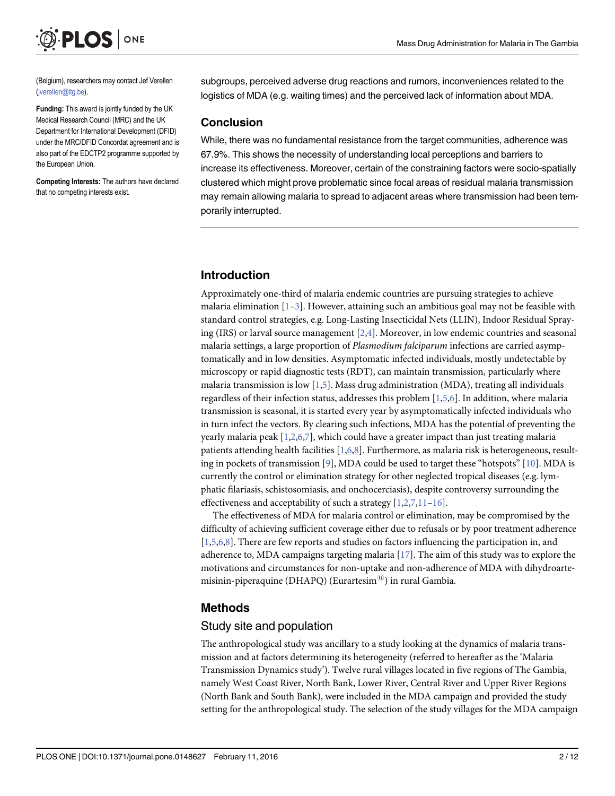<span id="page-1-0"></span>

(Belgium), researchers may contact Jef Verellen (jverellen@itg.be).

Funding: This award is jointly funded by the UK Medical Research Council (MRC) and the UK Department for International Development (DFID) under the MRC/DFID Concordat agreement and is also part of the EDCTP2 programme supported by the European Union.

Competing Interests: The authors have declared that no competing interests exist.

#### subgroups, perceived adverse drug reactions and rumors, inconveniences related to the logistics of MDA (e.g. waiting times) and the perceived lack of information about MDA.

#### Conclusion

While, there was no fundamental resistance from the target communities, adherence was 67.9%. This shows the necessity of understanding local perceptions and barriers to increase its effectiveness. Moreover, certain of the constraining factors were socio-spatially clustered which might prove problematic since focal areas of residual malaria transmission may remain allowing malaria to spread to adjacent areas where transmission had been temporarily interrupted.

## Introduction

Approximately one-third of malaria endemic countries are pursuing strategies to achieve malaria elimination  $[1-3]$  $[1-3]$  $[1-3]$  $[1-3]$  $[1-3]$ . However, attaining such an ambitious goal may not be feasible with standard control strategies, e.g. Long-Lasting Insecticidal Nets (LLIN), Indoor Residual Spraying (IRS) or larval source management  $[2,4]$  $[2,4]$  $[2,4]$  $[2,4]$  $[2,4]$ . Moreover, in low endemic countries and seasonal malaria settings, a large proportion of Plasmodium falciparum infections are carried asymptomatically and in low densities. Asymptomatic infected individuals, mostly undetectable by microscopy or rapid diagnostic tests (RDT), can maintain transmission, particularly where malaria transmission is low  $[1,5]$  $[1,5]$ . Mass drug administration (MDA), treating all individuals regardless of their infection status, addresses this problem  $[1,5,6]$  $[1,5,6]$ . In addition, where malaria transmission is seasonal, it is started every year by asymptomatically infected individuals who in turn infect the vectors. By clearing such infections, MDA has the potential of preventing the yearly malaria peak  $[1,2,6,7]$  $[1,2,6,7]$  $[1,2,6,7]$  $[1,2,6,7]$  $[1,2,6,7]$  $[1,2,6,7]$  $[1,2,6,7]$  $[1,2,6,7]$  $[1,2,6,7]$ , which could have a greater impact than just treating malaria patients attending health facilities [[1](#page-10-0),[6](#page-10-0),[8](#page-10-0)]. Furthermore, as malaria risk is heterogeneous, resulting in pockets of transmission [ $9$ ], MDA could be used to target these "hotspots" [ $10$ ]. MDA is currently the control or elimination strategy for other neglected tropical diseases (e.g. lymphatic filariasis, schistosomiasis, and onchocerciasis), despite controversy surrounding the effectiveness and acceptability of such a strategy  $[1,2,7,11-16]$  $[1,2,7,11-16]$  $[1,2,7,11-16]$  $[1,2,7,11-16]$ .

The effectiveness of MDA for malaria control or elimination, may be compromised by the difficulty of achieving sufficient coverage either due to refusals or by poor treatment adherence [\[1,5,6,8](#page-10-0)]. There are few reports and studies on factors influencing the participation in, and adherence to, MDA campaigns targeting malaria  $[17]$  $[17]$  $[17]$ . The aim of this study was to explore the motivations and circumstances for non-uptake and non-adherence of MDA with dihydroartemisinin-piperaquine (DHAPQ) (Eurartesim<sup>®</sup>) in rural Gambia.

#### Methods

#### Study site and population

The anthropological study was ancillary to a study looking at the dynamics of malaria transmission and at factors determining its heterogeneity (referred to hereafter as the 'Malaria Transmission Dynamics study'). Twelve rural villages located in five regions of The Gambia, namely West Coast River, North Bank, Lower River, Central River and Upper River Regions (North Bank and South Bank), were included in the MDA campaign and provided the study setting for the anthropological study. The selection of the study villages for the MDA campaign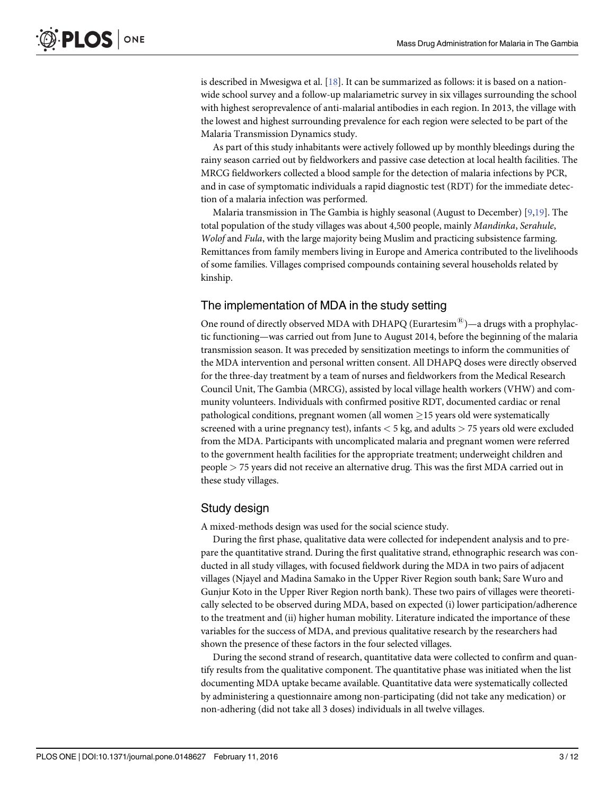<span id="page-2-0"></span>is described in Mwesigwa et al. [[18](#page-11-0)]. It can be summarized as follows: it is based on a nationwide school survey and a follow-up malariametric survey in six villages surrounding the school with highest seroprevalence of anti-malarial antibodies in each region. In 2013, the village with the lowest and highest surrounding prevalence for each region were selected to be part of the Malaria Transmission Dynamics study.

As part of this study inhabitants were actively followed up by monthly bleedings during the rainy season carried out by fieldworkers and passive case detection at local health facilities. The MRCG fieldworkers collected a blood sample for the detection of malaria infections by PCR, and in case of symptomatic individuals a rapid diagnostic test (RDT) for the immediate detection of a malaria infection was performed.

Malaria transmission in The Gambia is highly seasonal (August to December) [\[9](#page-10-0)[,19\]](#page-11-0). The total population of the study villages was about 4,500 people, mainly Mandinka, Serahule, Wolof and Fula, with the large majority being Muslim and practicing subsistence farming. Remittances from family members living in Europe and America contributed to the livelihoods of some families. Villages comprised compounds containing several households related by kinship.

#### The implementation of MDA in the study setting

One round of directly observed MDA with DHAPQ (Eurartesim<sup>®</sup>)—a drugs with a prophylactic functioning—was carried out from June to August 2014, before the beginning of the malaria transmission season. It was preceded by sensitization meetings to inform the communities of the MDA intervention and personal written consent. All DHAPQ doses were directly observed for the three-day treatment by a team of nurses and fieldworkers from the Medical Research Council Unit, The Gambia (MRCG), assisted by local village health workers (VHW) and community volunteers. Individuals with confirmed positive RDT, documented cardiac or renal pathological conditions, pregnant women (all women  $\geq$ 15 years old were systematically screened with a urine pregnancy test), infants  $<$  5 kg, and adults  $>$  75 years old were excluded from the MDA. Participants with uncomplicated malaria and pregnant women were referred to the government health facilities for the appropriate treatment; underweight children and people > 75 years did not receive an alternative drug. This was the first MDA carried out in these study villages.

#### Study design

A mixed-methods design was used for the social science study.

During the first phase, qualitative data were collected for independent analysis and to prepare the quantitative strand. During the first qualitative strand, ethnographic research was conducted in all study villages, with focused fieldwork during the MDA in two pairs of adjacent villages (Njayel and Madina Samako in the Upper River Region south bank; Sare Wuro and Gunjur Koto in the Upper River Region north bank). These two pairs of villages were theoretically selected to be observed during MDA, based on expected (i) lower participation/adherence to the treatment and (ii) higher human mobility. Literature indicated the importance of these variables for the success of MDA, and previous qualitative research by the researchers had shown the presence of these factors in the four selected villages.

During the second strand of research, quantitative data were collected to confirm and quantify results from the qualitative component. The quantitative phase was initiated when the list documenting MDA uptake became available. Quantitative data were systematically collected by administering a questionnaire among non-participating (did not take any medication) or non-adhering (did not take all 3 doses) individuals in all twelve villages.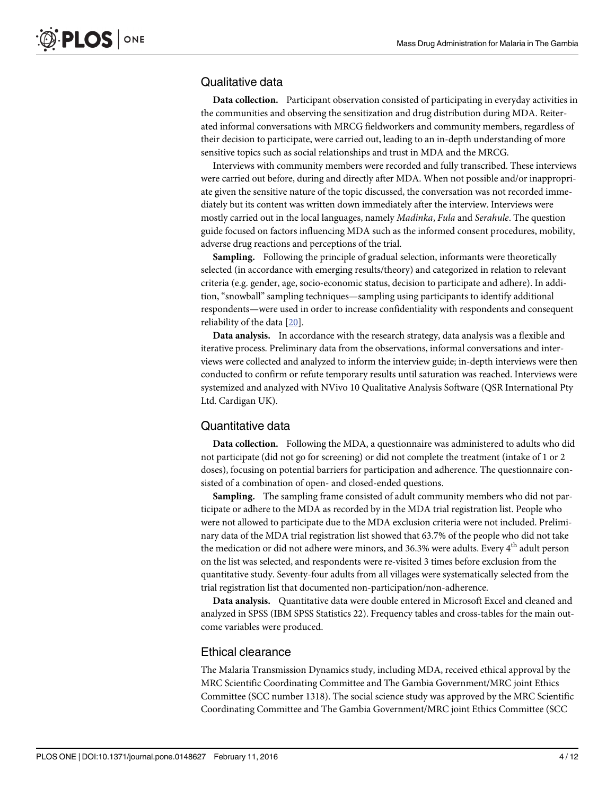### <span id="page-3-0"></span>Qualitative data

Data collection. Participant observation consisted of participating in everyday activities in the communities and observing the sensitization and drug distribution during MDA. Reiterated informal conversations with MRCG fieldworkers and community members, regardless of their decision to participate, were carried out, leading to an in-depth understanding of more sensitive topics such as social relationships and trust in MDA and the MRCG.

Interviews with community members were recorded and fully transcribed. These interviews were carried out before, during and directly after MDA. When not possible and/or inappropriate given the sensitive nature of the topic discussed, the conversation was not recorded immediately but its content was written down immediately after the interview. Interviews were mostly carried out in the local languages, namely Madinka, Fula and Serahule. The question guide focused on factors influencing MDA such as the informed consent procedures, mobility, adverse drug reactions and perceptions of the trial.

Sampling. Following the principle of gradual selection, informants were theoretically selected (in accordance with emerging results/theory) and categorized in relation to relevant criteria (e.g. gender, age, socio-economic status, decision to participate and adhere). In addition, "snowball" sampling techniques—sampling using participants to identify additional respondents—were used in order to increase confidentiality with respondents and consequent reliability of the data [\[20\]](#page-11-0).

Data analysis. In accordance with the research strategy, data analysis was a flexible and iterative process. Preliminary data from the observations, informal conversations and interviews were collected and analyzed to inform the interview guide; in-depth interviews were then conducted to confirm or refute temporary results until saturation was reached. Interviews were systemized and analyzed with NVivo 10 Qualitative Analysis Software (QSR International Pty Ltd. Cardigan UK).

#### Quantitative data

Data collection. Following the MDA, a questionnaire was administered to adults who did not participate (did not go for screening) or did not complete the treatment (intake of 1 or 2 doses), focusing on potential barriers for participation and adherence. The questionnaire consisted of a combination of open- and closed-ended questions.

Sampling. The sampling frame consisted of adult community members who did not participate or adhere to the MDA as recorded by in the MDA trial registration list. People who were not allowed to participate due to the MDA exclusion criteria were not included. Preliminary data of the MDA trial registration list showed that 63.7% of the people who did not take the medication or did not adhere were minors, and 36.3% were adults. Every 4<sup>th</sup> adult person on the list was selected, and respondents were re-visited 3 times before exclusion from the quantitative study. Seventy-four adults from all villages were systematically selected from the trial registration list that documented non-participation/non-adherence.

Data analysis. Quantitative data were double entered in Microsoft Excel and cleaned and analyzed in SPSS (IBM SPSS Statistics 22). Frequency tables and cross-tables for the main outcome variables were produced.

#### Ethical clearance

The Malaria Transmission Dynamics study, including MDA, received ethical approval by the MRC Scientific Coordinating Committee and The Gambia Government/MRC joint Ethics Committee (SCC number 1318). The social science study was approved by the MRC Scientific Coordinating Committee and The Gambia Government/MRC joint Ethics Committee (SCC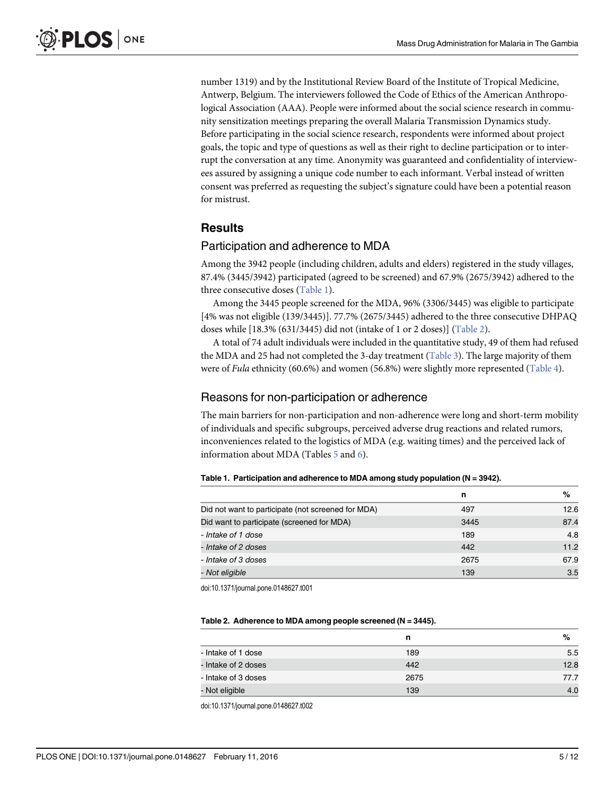<span id="page-4-0"></span>number 1319) and by the Institutional Review Board of the Institute of Tropical Medicine, Antwerp, Belgium. The interviewers followed the Code of Ethics of the American Anthropological Association (AAA). People were informed about the social science research in community sensitization meetings preparing the overall Malaria Transmission Dynamics study. Before participating in the social science research, respondents were informed about project goals, the topic and type of questions as well as their right to decline participation or to interrupt the conversation at any time. Anonymity was guaranteed and confidentiality of interviewees assured by assigning a unique code number to each informant. Verbal instead of written consent was preferred as requesting the subject's signature could have been a potential reason for mistrust.

## **Results**

#### Participation and adherence to MDA

Among the 3942 people (including children, adults and elders) registered in the study villages, 87.4% (3445/3942) participated (agreed to be screened) and 67.9% (2675/3942) adhered to the three consecutive doses (Table 1).

Among the 3445 people screened for the MDA, 96% (3306/3445) was eligible to participate [4% was not eligible (139/3445)]. 77.7% (2675/3445) adhered to the three consecutive DHPAQ doses while [18.3% (631/3445) did not (intake of 1 or 2 doses)] (Table 2).

A total of 74 adult individuals were included in the quantitative study, 49 of them had refused the MDA and 25 had not completed the 3-day treatment [\(Table 3](#page-5-0)). The large majority of them were of *Fula* ethnicity (60.6%) and women (56.8%) were slightly more represented [\(Table 4](#page-5-0)).

## Reasons for non-participation or adherence

The main barriers for non-participation and non-adherence were long and short-term mobility of individuals and specific subgroups, perceived adverse drug reactions and related rumors, inconveniences related to the logistics of MDA (e.g. waiting times) and the perceived lack of information about MDA (Tables [5](#page-5-0) and [6\)](#page-6-0).

|  |  | Table 1. Participation and adherence to MDA among study population ( $N = 3942$ ). |
|--|--|------------------------------------------------------------------------------------|
|--|--|------------------------------------------------------------------------------------|

|                                                    | n    | %    |
|----------------------------------------------------|------|------|
| Did not want to participate (not screened for MDA) | 497  | 12.6 |
| Did want to participate (screened for MDA)         | 3445 | 87.4 |
| - Intake of 1 dose                                 | 189  | 4.8  |
| - Intake of 2 doses                                | 442  | 11.2 |
| - Intake of 3 doses                                | 2675 | 67.9 |
| - Not eligible                                     | 139  | 3.5  |

doi:10.1371/journal.pone.0148627.t001

#### Table 2. Adherence to MDA among people screened (N = 3445).

|                     | n    | %    |
|---------------------|------|------|
| - Intake of 1 dose  | 189  | 5.5  |
| - Intake of 2 doses | 442  | 12.8 |
| - Intake of 3 doses | 2675 | 77.7 |
| - Not eligible      | 139  | 4.0  |

doi:10.1371/journal.pone.0148627.t002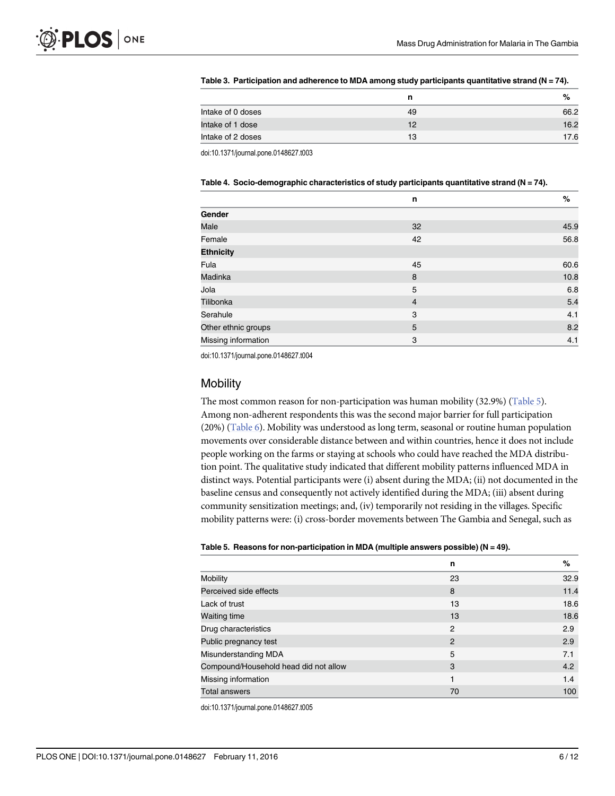|                   | n  | %    |
|-------------------|----|------|
| Intake of 0 doses | 49 | 66.2 |
| Intake of 1 dose  | 12 | 16.2 |
| Intake of 2 doses | 13 | 17.6 |

#### <span id="page-5-0"></span>[Table 3.](#page-4-0) Participation and adherence to MDA among study participants quantitative strand (N = 74).

doi:10.1371/journal.pone.0148627.t003

|                     | n              | %    |
|---------------------|----------------|------|
| Gender              |                |      |
| Male                | 32             | 45.9 |
| Female              | 42             | 56.8 |
| <b>Ethnicity</b>    |                |      |
| Fula                | 45             | 60.6 |
| <b>Madinka</b>      | 8              | 10.8 |
| Jola                | 5              | 6.8  |
| Tilibonka           | $\overline{4}$ | 5.4  |
| Serahule            | 3              | 4.1  |
| Other ethnic groups | 5              | 8.2  |
| Missing information | 3              | 4.1  |

## [Table 4.](#page-4-0) Socio-demographic characteristics of study participants quantitative strand ( $N = 74$ ).

doi:10.1371/journal.pone.0148627.t004

#### **Mobility**

The most common reason for non-participation was human mobility  $(32.9\%)$  (Table 5). Among non-adherent respondents this was the second major barrier for full participation (20%) ( $Table 6$ ). Mobility was understood as long term, seasonal or routine human population movements over considerable distance between and within countries, hence it does not include people working on the farms or staying at schools who could have reached the MDA distribution point. The qualitative study indicated that different mobility patterns influenced MDA in distinct ways. Potential participants were (i) absent during the MDA; (ii) not documented in the baseline census and consequently not actively identified during the MDA; (iii) absent during community sensitization meetings; and, (iv) temporarily not residing in the villages. Specific mobility patterns were: (i) cross-border movements between The Gambia and Senegal, such as

#### [Table 5.](#page-4-0) Reasons for non-participation in MDA (multiple answers possible) ( $N = 49$ ).

|                                       | n  | %    |
|---------------------------------------|----|------|
| Mobility                              | 23 | 32.9 |
| Perceived side effects                | 8  | 11.4 |
| Lack of trust                         | 13 | 18.6 |
| <b>Waiting time</b>                   | 13 | 18.6 |
| Drug characteristics                  | 2  | 2.9  |
| Public pregnancy test                 | 2  | 2.9  |
| Misunderstanding MDA                  | 5  | 7.1  |
| Compound/Household head did not allow | 3  | 4.2  |
| Missing information                   | 1  | 1.4  |
| <b>Total answers</b>                  | 70 | 100  |

doi:10.1371/journal.pone.0148627.t005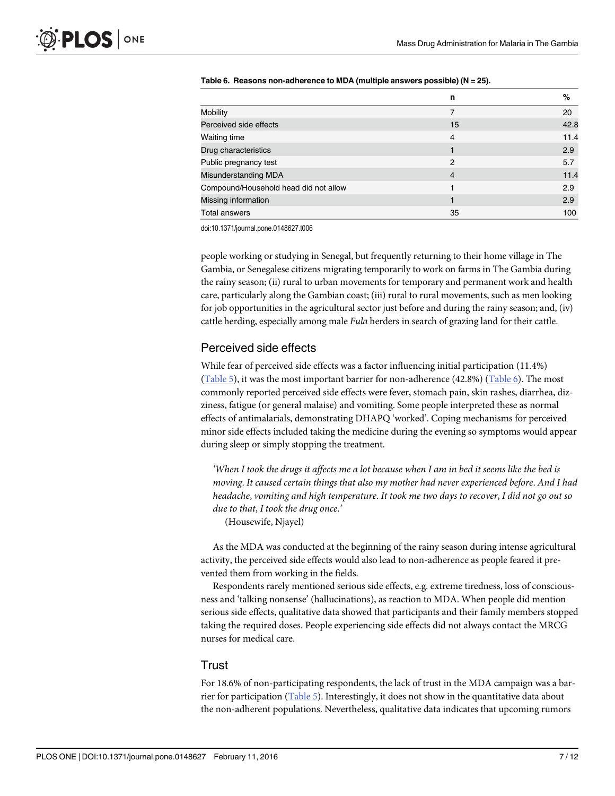|                                       | n              | %    |
|---------------------------------------|----------------|------|
| Mobility                              | 7              | 20   |
| Perceived side effects                | 15             | 42.8 |
| <b>Waiting time</b>                   | $\overline{4}$ | 11.4 |
| Drug characteristics                  |                | 2.9  |
| Public pregnancy test                 | 2              | 5.7  |
| Misunderstanding MDA                  | $\overline{4}$ | 11.4 |
| Compound/Household head did not allow |                | 2.9  |
| Missing information                   |                | 2.9  |
| <b>Total answers</b>                  | 35             | 100  |

#### <span id="page-6-0"></span>[Table 6.](#page-4-0) Reasons non-adherence to MDA (multiple answers possible) ( $N = 25$ ).

doi:10.1371/journal.pone.0148627.t006

people working or studying in Senegal, but frequently returning to their home village in The Gambia, or Senegalese citizens migrating temporarily to work on farms in The Gambia during the rainy season; (ii) rural to urban movements for temporary and permanent work and health care, particularly along the Gambian coast; (iii) rural to rural movements, such as men looking for job opportunities in the agricultural sector just before and during the rainy season; and, (iv) cattle herding, especially among male Fula herders in search of grazing land for their cattle.

#### Perceived side effects

While fear of perceived side effects was a factor influencing initial participation (11.4%) [\(Table 5\)](#page-5-0), it was the most important barrier for non-adherence (42.8%) (Table 6). The most commonly reported perceived side effects were fever, stomach pain, skin rashes, diarrhea, dizziness, fatigue (or general malaise) and vomiting. Some people interpreted these as normal effects of antimalarials, demonstrating DHAPQ 'worked'. Coping mechanisms for perceived minor side effects included taking the medicine during the evening so symptoms would appear during sleep or simply stopping the treatment.

'When I took the drugs it affects me a lot because when I am in bed it seems like the bed is moving. It caused certain things that also my mother had never experienced before. And I had headache, vomiting and high temperature. It took me two days to recover, I did not go out so due to that, I took the drug once.'

(Housewife, Njayel)

As the MDA was conducted at the beginning of the rainy season during intense agricultural activity, the perceived side effects would also lead to non-adherence as people feared it prevented them from working in the fields.

Respondents rarely mentioned serious side effects, e.g. extreme tiredness, loss of consciousness and 'talking nonsense' (hallucinations), as reaction to MDA. When people did mention serious side effects, qualitative data showed that participants and their family members stopped taking the required doses. People experiencing side effects did not always contact the MRCG nurses for medical care.

#### **Trust**

For 18.6% of non-participating respondents, the lack of trust in the MDA campaign was a barrier for participation ([Table 5](#page-5-0)). Interestingly, it does not show in the quantitative data about the non-adherent populations. Nevertheless, qualitative data indicates that upcoming rumors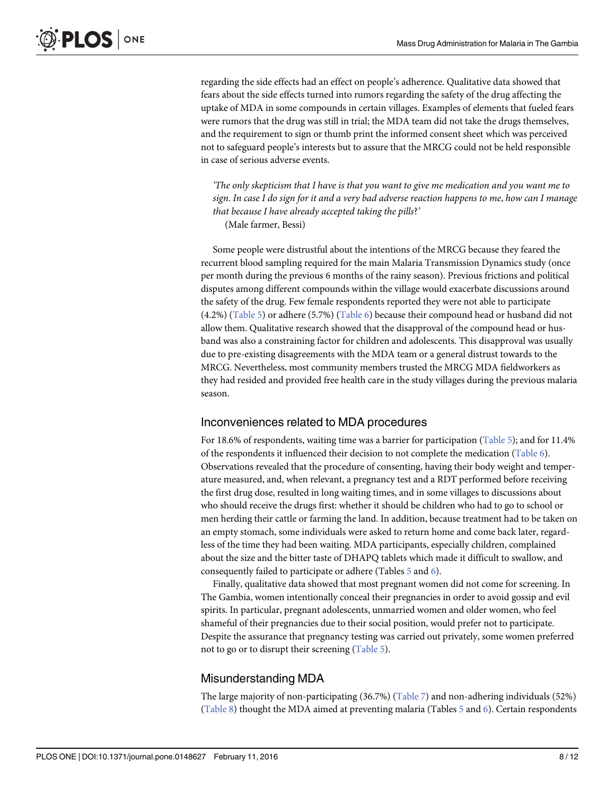<span id="page-7-0"></span>regarding the side effects had an effect on people's adherence. Qualitative data showed that fears about the side effects turned into rumors regarding the safety of the drug affecting the uptake of MDA in some compounds in certain villages. Examples of elements that fueled fears were rumors that the drug was still in trial; the MDA team did not take the drugs themselves, and the requirement to sign or thumb print the informed consent sheet which was perceived not to safeguard people's interests but to assure that the MRCG could not be held responsible in case of serious adverse events.

'The only skepticism that I have is that you want to give me medication and you want me to sign. In case I do sign for it and a very bad adverse reaction happens to me, how can I manage that because I have already accepted taking the pills?' (Male farmer, Bessi)

Some people were distrustful about the intentions of the MRCG because they feared the recurrent blood sampling required for the main Malaria Transmission Dynamics study (once per month during the previous 6 months of the rainy season). Previous frictions and political disputes among different compounds within the village would exacerbate discussions around the safety of the drug. Few female respondents reported they were not able to participate  $(4.2%)$  ([Table 5](#page-5-0)) or adhere (5.7%) [\(Table 6\)](#page-6-0) because their compound head or husband did not allow them. Qualitative research showed that the disapproval of the compound head or husband was also a constraining factor for children and adolescents. This disapproval was usually due to pre-existing disagreements with the MDA team or a general distrust towards to the MRCG. Nevertheless, most community members trusted the MRCG MDA fieldworkers as they had resided and provided free health care in the study villages during the previous malaria season.

#### Inconveniences related to MDA procedures

For 18.6% of respondents, waiting time was a barrier for participation ([Table 5](#page-5-0)); and for 11.4% of the respondents it influenced their decision to not complete the medication [\(Table 6](#page-6-0)). Observations revealed that the procedure of consenting, having their body weight and temperature measured, and, when relevant, a pregnancy test and a RDT performed before receiving the first drug dose, resulted in long waiting times, and in some villages to discussions about who should receive the drugs first: whether it should be children who had to go to school or men herding their cattle or farming the land. In addition, because treatment had to be taken on an empty stomach, some individuals were asked to return home and come back later, regardless of the time they had been waiting. MDA participants, especially children, complained about the size and the bitter taste of DHAPQ tablets which made it difficult to swallow, and consequently failed to participate or adhere (Tables [5](#page-5-0) and [6\)](#page-6-0).

Finally, qualitative data showed that most pregnant women did not come for screening. In The Gambia, women intentionally conceal their pregnancies in order to avoid gossip and evil spirits. In particular, pregnant adolescents, unmarried women and older women, who feel shameful of their pregnancies due to their social position, would prefer not to participate. Despite the assurance that pregnancy testing was carried out privately, some women preferred not to go or to disrupt their screening ([Table 5](#page-5-0)).

## Misunderstanding MDA

The large majority of non-participating (36.7%) ([Table 7\)](#page-8-0) and non-adhering individuals (52%) [\(Table 8\)](#page-8-0) thought the MDA aimed at preventing malaria (Tables  $\frac{5}{2}$  $\frac{5}{2}$  $\frac{5}{2}$  and  $\frac{6}{2}$  $\frac{6}{2}$  $\frac{6}{2}$ ). Certain respondents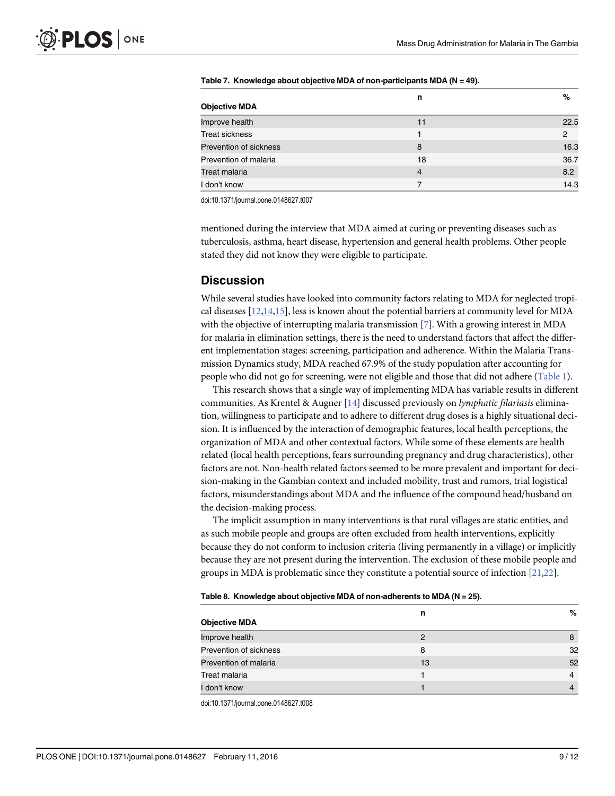|                        | n  | %    |
|------------------------|----|------|
| <b>Objective MDA</b>   |    |      |
| Improve health         | 11 | 22.5 |
| <b>Treat sickness</b>  |    | 2    |
| Prevention of sickness | 8  | 16.3 |
| Prevention of malaria  | 18 | 36.7 |
| Treat malaria          | 4  | 8.2  |
| don't know             |    | 14.3 |

<span id="page-8-0"></span>[Table 7.](#page-7-0) Knowledge about objective MDA of non-participants MDA (N = 49).

doi:10.1371/journal.pone.0148627.t007

mentioned during the interview that MDA aimed at curing or preventing diseases such as tuberculosis, asthma, heart disease, hypertension and general health problems. Other people stated they did not know they were eligible to participate.

#### **Discussion**

While several studies have looked into community factors relating to MDA for neglected tropical diseases [\[12,14,15\]](#page-10-0), less is known about the potential barriers at community level for MDA with the objective of interrupting malaria transmission [\[7\]](#page-10-0). With a growing interest in MDA for malaria in elimination settings, there is the need to understand factors that affect the different implementation stages: screening, participation and adherence. Within the Malaria Transmission Dynamics study, MDA reached 67.9% of the study population after accounting for people who did not go for screening, were not eligible and those that did not adhere [\(Table 1\)](#page-4-0).

This research shows that a single way of implementing MDA has variable results in different communities. As Krentel & Augner [[14\]](#page-10-0) discussed previously on lymphatic filariasis elimination, willingness to participate and to adhere to different drug doses is a highly situational decision. It is influenced by the interaction of demographic features, local health perceptions, the organization of MDA and other contextual factors. While some of these elements are health related (local health perceptions, fears surrounding pregnancy and drug characteristics), other factors are not. Non-health related factors seemed to be more prevalent and important for decision-making in the Gambian context and included mobility, trust and rumors, trial logistical factors, misunderstandings about MDA and the influence of the compound head/husband on the decision-making process.

The implicit assumption in many interventions is that rural villages are static entities, and as such mobile people and groups are often excluded from health interventions, explicitly because they do not conform to inclusion criteria (living permanently in a village) or implicitly because they are not present during the intervention. The exclusion of these mobile people and groups in MDA is problematic since they constitute a potential source of infection [[21](#page-11-0),[22](#page-11-0)].

| Table 8. Knowledge about objective MDA of non-adherents to MDA (N = 25). |  |
|--------------------------------------------------------------------------|--|
|--------------------------------------------------------------------------|--|

| <b>Objective MDA</b>   | n  | %  |
|------------------------|----|----|
| Improve health         | 2  | 8  |
| Prevention of sickness | 8  | 32 |
| Prevention of malaria  | 13 | 52 |
| <b>Treat malaria</b>   |    |    |
| I don't know           |    |    |

doi:10.1371/journal.pone.0148627.t008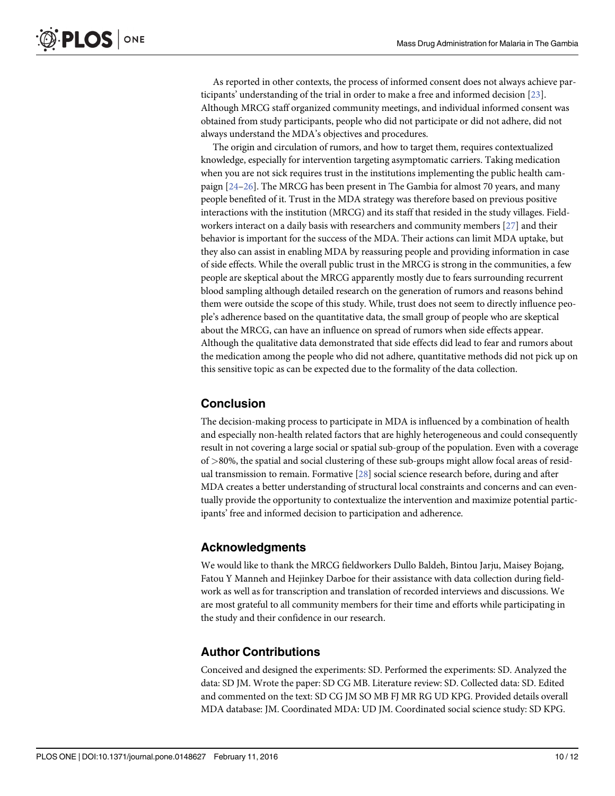<span id="page-9-0"></span>As reported in other contexts, the process of informed consent does not always achieve participants' understanding of the trial in order to make a free and informed decision [[23](#page-11-0)]. Although MRCG staff organized community meetings, and individual informed consent was obtained from study participants, people who did not participate or did not adhere, did not always understand the MDA's objectives and procedures.

The origin and circulation of rumors, and how to target them, requires contextualized knowledge, especially for intervention targeting asymptomatic carriers. Taking medication when you are not sick requires trust in the institutions implementing the public health campaign [[24](#page-11-0)–[26](#page-11-0)]. The MRCG has been present in The Gambia for almost 70 years, and many people benefited of it. Trust in the MDA strategy was therefore based on previous positive interactions with the institution (MRCG) and its staff that resided in the study villages. Fieldworkers interact on a daily basis with researchers and community members [[27](#page-11-0)] and their behavior is important for the success of the MDA. Their actions can limit MDA uptake, but they also can assist in enabling MDA by reassuring people and providing information in case of side effects. While the overall public trust in the MRCG is strong in the communities, a few people are skeptical about the MRCG apparently mostly due to fears surrounding recurrent blood sampling although detailed research on the generation of rumors and reasons behind them were outside the scope of this study. While, trust does not seem to directly influence people's adherence based on the quantitative data, the small group of people who are skeptical about the MRCG, can have an influence on spread of rumors when side effects appear. Although the qualitative data demonstrated that side effects did lead to fear and rumors about the medication among the people who did not adhere, quantitative methods did not pick up on this sensitive topic as can be expected due to the formality of the data collection.

## Conclusion

The decision-making process to participate in MDA is influenced by a combination of health and especially non-health related factors that are highly heterogeneous and could consequently result in not covering a large social or spatial sub-group of the population. Even with a coverage of >80%, the spatial and social clustering of these sub-groups might allow focal areas of residual transmission to remain. Formative [\[28\]](#page-11-0) social science research before, during and after MDA creates a better understanding of structural local constraints and concerns and can eventually provide the opportunity to contextualize the intervention and maximize potential participants' free and informed decision to participation and adherence.

#### Acknowledgments

We would like to thank the MRCG fieldworkers Dullo Baldeh, Bintou Jarju, Maisey Bojang, Fatou Y Manneh and Hejinkey Darboe for their assistance with data collection during fieldwork as well as for transcription and translation of recorded interviews and discussions. We are most grateful to all community members for their time and efforts while participating in the study and their confidence in our research.

## Author Contributions

Conceived and designed the experiments: SD. Performed the experiments: SD. Analyzed the data: SD JM. Wrote the paper: SD CG MB. Literature review: SD. Collected data: SD. Edited and commented on the text: SD CG JM SO MB FJ MR RG UD KPG. Provided details overall MDA database: JM. Coordinated MDA: UD JM. Coordinated social science study: SD KPG.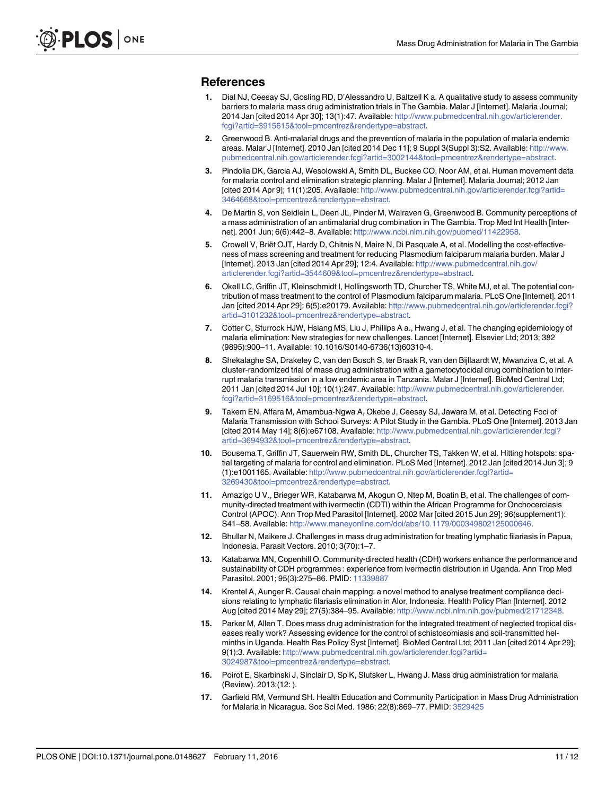#### <span id="page-10-0"></span>References

- [1.](#page-1-0) Dial NJ, Ceesay SJ, Gosling RD, D'Alessandro U, Baltzell K a. A qualitative study to assess community barriers to malaria mass drug administration trials in The Gambia. Malar J [Internet]. Malaria Journal; 2014 Jan [cited 2014 Apr 30]; 13(1):47. Available: [http://www.pubmedcentral.nih.gov/articlerender.](http://www.pubmedcentral.nih.gov/articlerender.fcgi?artid=3915615&tool�=�pmcentrez&rendertype�=�abstract) [fcgi?artid=3915615&tool=pmcentrez&rendertype=abstract.](http://www.pubmedcentral.nih.gov/articlerender.fcgi?artid=3915615&tool�=�pmcentrez&rendertype�=�abstract)
- [2.](#page-1-0) Greenwood B. Anti-malarial drugs and the prevention of malaria in the population of malaria endemic areas. Malar J [Internet]. 2010 Jan [cited 2014 Dec 11]; 9 Suppl 3(Suppl 3):S2. Available: [http://www.](http://www.pubmedcentral.nih.gov/articlerender.fcgi?artid=3002144&tool�=�pmcentrez&rendertype�=�abstract) [pubmedcentral.nih.gov/articlerender.fcgi?artid=3002144&tool=pmcentrez&rendertype=abstract.](http://www.pubmedcentral.nih.gov/articlerender.fcgi?artid=3002144&tool�=�pmcentrez&rendertype�=�abstract)
- [3.](#page-1-0) Pindolia DK, Garcia AJ, Wesolowski A, Smith DL, Buckee CO, Noor AM, et al. Human movement data for malaria control and elimination strategic planning. Malar J [Internet]. Malaria Journal; 2012 Jan [cited 2014 Apr 9]; 11(1):205. Available: [http://www.pubmedcentral.nih.gov/articlerender.fcgi?artid=](http://www.pubmedcentral.nih.gov/articlerender.fcgi?artid=3464668&tool�=�pmcentrez&rendertype�=�abstract) [3464668&tool=pmcentrez&rendertype=abstract](http://www.pubmedcentral.nih.gov/articlerender.fcgi?artid=3464668&tool�=�pmcentrez&rendertype�=�abstract).
- [4.](#page-1-0) De Martin S, von Seidlein L, Deen JL, Pinder M, Walraven G, Greenwood B. Community perceptions of a mass administration of an antimalarial drug combination in The Gambia. Trop Med Int Health [Internet]. 2001 Jun; 6(6):442–8. Available: <http://www.ncbi.nlm.nih.gov/pubmed/11422958>.
- [5.](#page-1-0) Crowell V, Briët OJT, Hardy D, Chitnis N, Maire N, Di Pasquale A, et al. Modelling the cost-effectiveness of mass screening and treatment for reducing Plasmodium falciparum malaria burden. Malar J [Internet]. 2013 Jan [cited 2014 Apr 29]; 12:4. Available: [http://www.pubmedcentral.nih.gov/](http://www.pubmedcentral.nih.gov/articlerender.fcgi?artid=3544609&tool�=�pmcentrez&rendertype�=�abstract) [articlerender.fcgi?artid=3544609&tool=pmcentrez&rendertype=abstract.](http://www.pubmedcentral.nih.gov/articlerender.fcgi?artid=3544609&tool�=�pmcentrez&rendertype�=�abstract)
- [6.](#page-1-0) Okell LC, Griffin JT, Kleinschmidt I, Hollingsworth TD, Churcher TS, White MJ, et al. The potential contribution of mass treatment to the control of Plasmodium falciparum malaria. PLoS One [Internet]. 2011 Jan [cited 2014 Apr 29]; 6(5):e20179. Available: [http://www.pubmedcentral.nih.gov/articlerender.fcgi?](http://www.pubmedcentral.nih.gov/articlerender.fcgi?artid=3101232&tool�=�pmcentrez&rendertype�=�abstract) [artid=3101232&tool=pmcentrez&rendertype=abstract](http://www.pubmedcentral.nih.gov/articlerender.fcgi?artid=3101232&tool�=�pmcentrez&rendertype�=�abstract).
- [7.](#page-1-0) Cotter C, Sturrock HJW, Hsiang MS, Liu J, Phillips A a., Hwang J, et al. The changing epidemiology of malaria elimination: New strategies for new challenges. Lancet [Internet]. Elsevier Ltd; 2013; 382 (9895):900–11. Available: 10.1016/S0140-6736(13)60310-4.
- [8.](#page-1-0) Shekalaghe SA, Drakeley C, van den Bosch S, ter Braak R, van den Bijllaardt W, Mwanziva C, et al. A cluster-randomized trial of mass drug administration with a gametocytocidal drug combination to interrupt malaria transmission in a low endemic area in Tanzania. Malar J [Internet]. BioMed Central Ltd; 2011 Jan [cited 2014 Jul 10]; 10(1):247. Available: [http://www.pubmedcentral.nih.gov/articlerender.](http://www.pubmedcentral.nih.gov/articlerender.fcgi?artid=3169516&tool�=�pmcentrez&rendertype�=�abstract) [fcgi?artid=3169516&tool=pmcentrez&rendertype=abstract.](http://www.pubmedcentral.nih.gov/articlerender.fcgi?artid=3169516&tool�=�pmcentrez&rendertype�=�abstract)
- [9.](#page-1-0) Takem EN, Affara M, Amambua-Ngwa A, Okebe J, Ceesay SJ, Jawara M, et al. Detecting Foci of Malaria Transmission with School Surveys: A Pilot Study in the Gambia. PLoS One [Internet]. 2013 Jan [cited 2014 May 14]; 8(6):e67108. Available: [http://www.pubmedcentral.nih.gov/articlerender.fcgi?](http://www.pubmedcentral.nih.gov/articlerender.fcgi?artid=3694932&tool�=�pmcentrez&rendertype�=�abstract) [artid=3694932&tool=pmcentrez&rendertype=abstract](http://www.pubmedcentral.nih.gov/articlerender.fcgi?artid=3694932&tool�=�pmcentrez&rendertype�=�abstract).
- [10.](#page-1-0) Bousema T, Griffin JT, Sauerwein RW, Smith DL, Churcher TS, Takken W, et al. Hitting hotspots: spatial targeting of malaria for control and elimination. PLoS Med [Internet]. 2012 Jan [cited 2014 Jun 3]; 9 (1):e1001165. Available: [http://www.pubmedcentral.nih.gov/articlerender.fcgi?artid=](http://www.pubmedcentral.nih.gov/articlerender.fcgi?artid=3269430&tool�=�pmcentrez&rendertype�=�abstract) [3269430&tool=pmcentrez&rendertype=abstract](http://www.pubmedcentral.nih.gov/articlerender.fcgi?artid=3269430&tool�=�pmcentrez&rendertype�=�abstract).
- [11.](#page-1-0) Amazigo U V., Brieger WR, Katabarwa M, Akogun O, Ntep M, Boatin B, et al. The challenges of community-directed treatment with ivermectin (CDTI) within the African Programme for Onchocerciasis Control (APOC). Ann Trop Med Parasitol [Internet]. 2002 Mar [cited 2015 Jun 29]; 96(supplement1): S41–58. Available: <http://www.maneyonline.com/doi/abs/10.1179/000349802125000646>.
- [12.](#page-8-0) Bhullar N, Maikere J. Challenges in mass drug administration for treating lymphatic filariasis in Papua, Indonesia. Parasit Vectors. 2010; 3(70):1–7.
- 13. Katabarwa MN, Copenhill O. Community-directed health (CDH) workers enhance the performance and sustainability of CDH programmes : experience from ivermectin distribution in Uganda. Ann Trop Med Parasitol. 2001; 95(3):275–86. PMID: [11339887](http://www.ncbi.nlm.nih.gov/pubmed/11339887)
- [14.](#page-8-0) Krentel A, Aunger R. Causal chain mapping: a novel method to analyse treatment compliance decisions relating to lymphatic filariasis elimination in Alor, Indonesia. Health Policy Plan [Internet]. 2012 Aug [cited 2014 May 29]; 27(5):384-95. Available: [http://www.ncbi.nlm.nih.gov/pubmed/21712348.](http://www.ncbi.nlm.nih.gov/pubmed/21712348)
- [15.](#page-8-0) Parker M, Allen T. Does mass drug administration for the integrated treatment of neglected tropical diseases really work? Assessing evidence for the control of schistosomiasis and soil-transmitted helminths in Uganda. Health Res Policy Syst [Internet]. BioMed Central Ltd; 2011 Jan [cited 2014 Apr 29]; 9(1):3. Available: [http://www.pubmedcentral.nih.gov/articlerender.fcgi?artid=](http://www.pubmedcentral.nih.gov/articlerender.fcgi?artid=3024987&tool�=�pmcentrez&rendertype�=�abstract) [3024987&tool=pmcentrez&rendertype=abstract](http://www.pubmedcentral.nih.gov/articlerender.fcgi?artid=3024987&tool�=�pmcentrez&rendertype�=�abstract).
- [16.](#page-1-0) Poirot E, Skarbinski J, Sinclair D, Sp K, Slutsker L, Hwang J. Mass drug administration for malaria (Review). 2013;(12: ).
- [17.](#page-1-0) Garfield RM, Vermund SH. Health Education and Community Participation in Mass Drug Administration for Malaria in Nicaragua. Soc Sci Med. 1986; 22(8):869–77. PMID: [3529425](http://www.ncbi.nlm.nih.gov/pubmed/3529425)